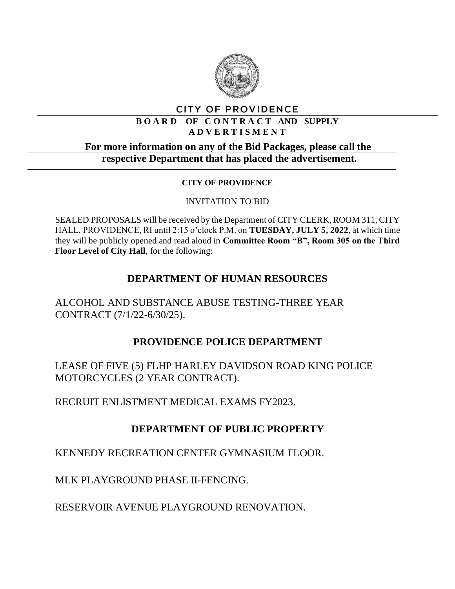

#### **CITY OF PROVIDENCE**

#### **B O A R D OF C O N T R A C T AND SUPPLY A D V E R T I S M E N T**

## **For more information on any of the Bid Packages, please call the respective Department that has placed the advertisement.**

#### **CITY OF PROVIDENCE**

#### INVITATION TO BID

SEALED PROPOSALS will be received by the Department of CITY CLERK, ROOM 311, CITY HALL, PROVIDENCE, RI until 2:15 o'clock P.M. on **TUESDAY, JULY 5, 2022**, at which time they will be publicly opened and read aloud in **Committee Room "B", Room 305 on the Third Floor Level of City Hall**, for the following:

# **DEPARTMENT OF HUMAN RESOURCES**

ALCOHOL AND SUBSTANCE ABUSE TESTING-THREE YEAR CONTRACT (7/1/22-6/30/25).

## **PROVIDENCE POLICE DEPARTMENT**

LEASE OF FIVE (5) FLHP HARLEY DAVIDSON ROAD KING POLICE MOTORCYCLES (2 YEAR CONTRACT).

RECRUIT ENLISTMENT MEDICAL EXAMS FY2023.

# **DEPARTMENT OF PUBLIC PROPERTY**

KENNEDY RECREATION CENTER GYMNASIUM FLOOR.

MLK PLAYGROUND PHASE II-FENCING.

RESERVOIR AVENUE PLAYGROUND RENOVATION.